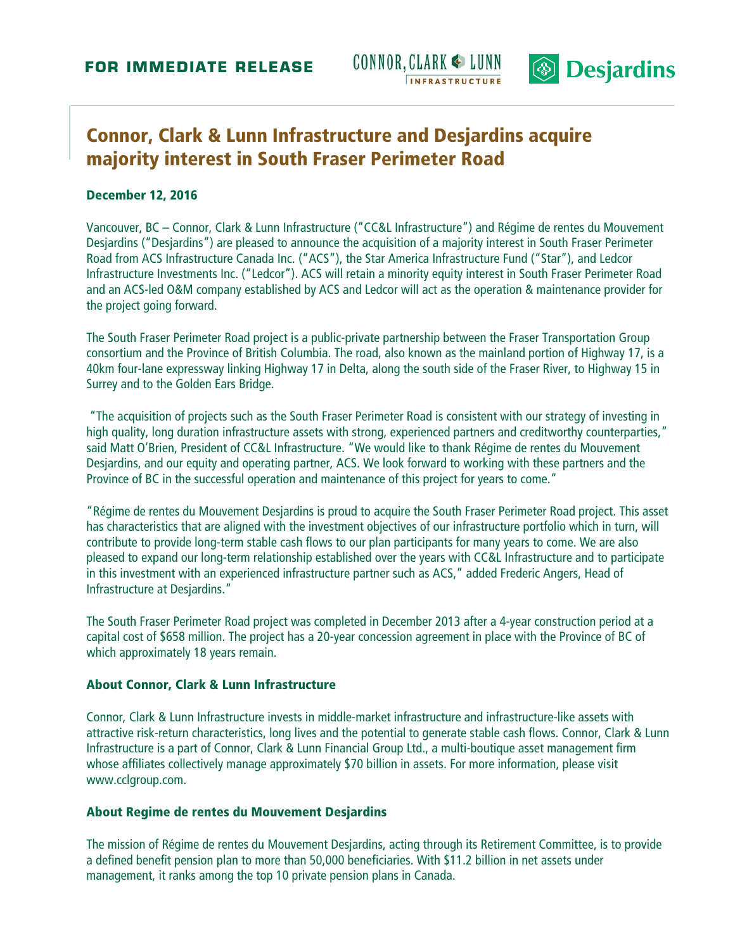



# **Connor, Clark & Lunn Infrastructure and Desjardins acquire majority interest in South Fraser Perimeter Road**

#### **December 12, 2016**

Vancouver, BC – Connor, Clark & Lunn Infrastructure ("CC&L Infrastructure") and Régime de rentes du Mouvement Desjardins ("Desjardins") are pleased to announce the acquisition of a majority interest in South Fraser Perimeter Road from ACS Infrastructure Canada Inc. ("ACS"), the Star America Infrastructure Fund ("Star"), and Ledcor Infrastructure Investments Inc. ("Ledcor"). ACS will retain a minority equity interest in South Fraser Perimeter Road and an ACS-led O&M company established by ACS and Ledcor will act as the operation & maintenance provider for the project going forward.

The South Fraser Perimeter Road project is a public-private partnership between the Fraser Transportation Group consortium and the Province of British Columbia. The road, also known as the mainland portion of Highway 17, is a 40km four-lane expressway linking Highway 17 in Delta, along the south side of the Fraser River, to Highway 15 in Surrey and to the Golden Ears Bridge.

 "The acquisition of projects such as the South Fraser Perimeter Road is consistent with our strategy of investing in high quality, long duration infrastructure assets with strong, experienced partners and creditworthy counterparties," said Matt O'Brien, President of CC&L Infrastructure. "We would like to thank Régime de rentes du Mouvement Desjardins, and our equity and operating partner, ACS. We look forward to working with these partners and the Province of BC in the successful operation and maintenance of this project for years to come."

"Régime de rentes du Mouvement Desjardins is proud to acquire the South Fraser Perimeter Road project. This asset has characteristics that are aligned with the investment objectives of our infrastructure portfolio which in turn, will contribute to provide long-term stable cash flows to our plan participants for many years to come. We are also pleased to expand our long-term relationship established over the years with CC&L Infrastructure and to participate in this investment with an experienced infrastructure partner such as ACS," added Frederic Angers, Head of Infrastructure at Desjardins."

The South Fraser Perimeter Road project was completed in December 2013 after a 4-year construction period at a capital cost of \$658 million. The project has a 20-year concession agreement in place with the Province of BC of which approximately 18 years remain.

#### **About Connor, Clark & Lunn Infrastructure**

Connor, Clark & Lunn Infrastructure invests in middle-market infrastructure and infrastructure-like assets with attractive risk-return characteristics, long lives and the potential to generate stable cash flows. Connor, Clark & Lunn Infrastructure is a part of Connor, Clark & Lunn Financial Group Ltd., a multi-boutique asset management firm whose affiliates collectively manage approximately \$70 billion in assets. For more information, please visit www.cclgroup.com.

### **About Regime de rentes du Mouvement Desjardins**

The mission of Régime de rentes du Mouvement Desjardins, acting through its Retirement Committee, is to provide a defined benefit pension plan to more than 50,000 beneficiaries. With \$11.2 billion in net assets under management, it ranks among the top 10 private pension plans in Canada.